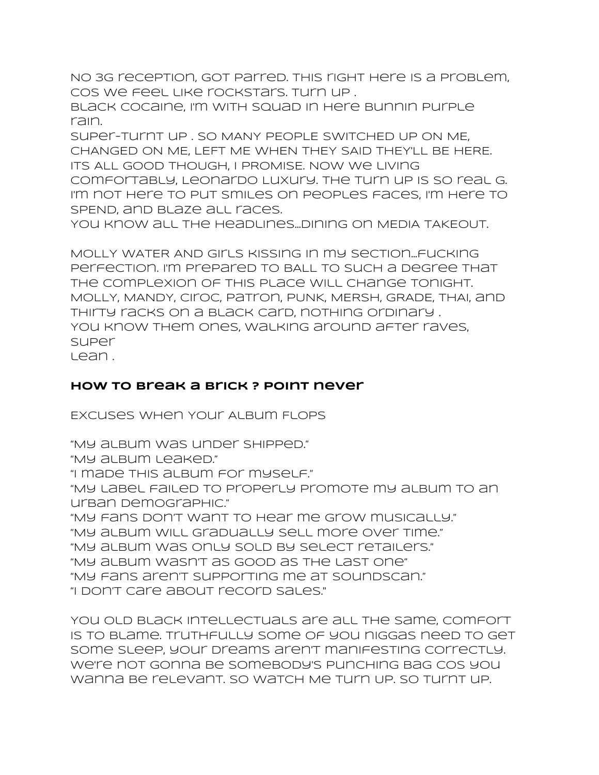No 3G reception, got parred. THIS right here is a problem, cos we feel like rockstars. Turn up .

Black Cocaine, I'm with squad in here bunnin purple rain.

Super-turnt up . SO MANY PEOPLE SWITCHED UP ON ME, CHANGED ON ME, LEFT ME WHEN THEY SAID THEY'LL BE HERE. ITS ALL GOOD THOUGH, I PROMISE. Now we living comfortably, Leonardo Luxury. The turn up is so real G. I'm not here to put smiles on peoples faces, I'm here to SPEND, and blaze all races.

You know all the headlines...dining on MEDIA TAKEOUT.

MOLLY WATER AND Girls kissing in my section...fucking perfection. I'm prepared to BALL to such a degree that the complexion of this place will change tonight. MOLLY, MANDY, Ciroc, Patron, PUNK, MERSH, GRADE, THAI, and Thirty racks on a black card, nothing ordinary . You know them ones, walking around after raves, super lean .

## **how to break a brick ? Point never**

Excuses When Your Album Flops

"My album was under shipped." "My album leaked." "I made this album for myself." "My label failed to properly promote my album to an urban demographic." "My fans don't want to hear me grow musically." "My album will gradually sell more over time." "My album was only sold by select retailers." "My album wasn't as good as the last one" "My fans aren't supporting me at SoundScan." "I don't care about record sales."

You old black intellectuals are all the same, comfort is to blame. Truthfully some of you niggas need to get some sleep, your dreams aren't manifesting correctly. We're not gonna be somebody's punching bag cos you wanna be relevant. So Watch Me Turn Up. So turnt up.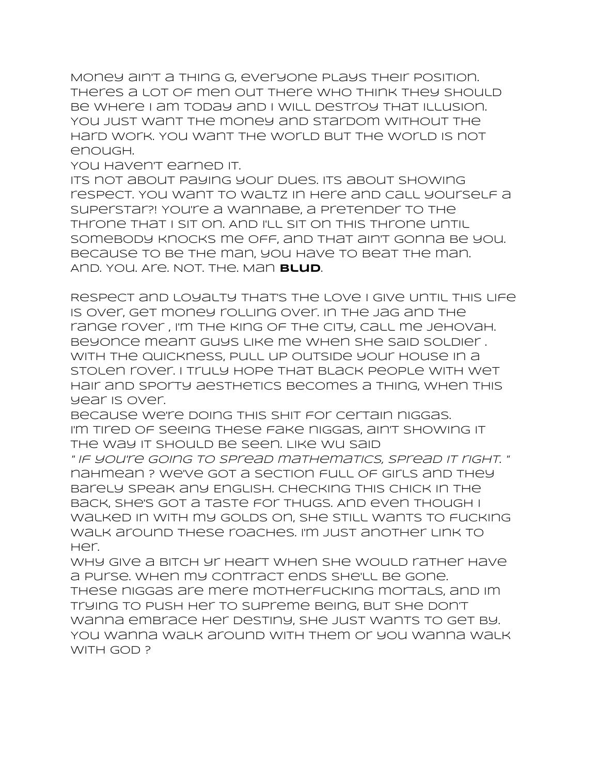Money ain't a thing G, everyone plays their position. Theres a lot of men out there who think they should be where I am today and I will destroy that illusion. You just want the money and stardom without the hard work. You want the world but the world is not enough.

You haven't earned it.

Its not about paying your dues. Its about showing respect. You want to waltz in here and call yourself a superstar?! You're a wannabe, a pretender to the throne that I sit on. And I'll sit on this throne until somebody knocks me off, and that ain't gonna be you. Because to be the man, you have to beat the man. And. You. Are. Not. The. Man **Blud**.

Respect and Loyalty that's the Love I give Until this life is over, get money rolling over. In the jag and the range rover , I'm the king of the city, Call me jehovah. Beyonce meant guys like me when she said soldier . With the quickness, pull up outside your house in a stolen rover. I truly hope that black people with wet hair and sporty aesthetics becomes a thing, when this year is over.

because we're doing this shit for certain niggas. I'm tired of seeing these fake niggas, ain't showing it the way it should be seen. Like Wu said

" If you're going to spread mathematics, spread it right. " nahmean ? we've got a section full of girls and they barely speak any English. Checking this chick in the back, she's got a taste for thugs. And even though I walked in with my golds on, she still wants to fucking walk around these roaches. I'm just another link to her.

Why give a bitch yr heart when she would rather have a purse. When my contract ends she'll be gone. These niggas are mere motherfucking mortals, and Im trying to push her to supreme being, But she don't wanna embrace her destiny, she just wants to get by. You wanna walk around with them or you wanna walk WITH GOD?